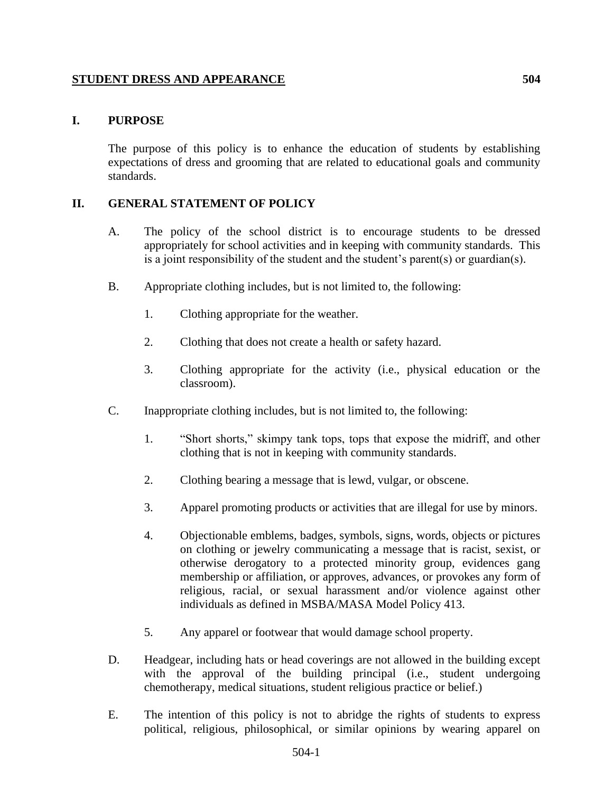## **STUDENT DRESS AND APPEARANCE 504**

## **I. PURPOSE**

The purpose of this policy is to enhance the education of students by establishing expectations of dress and grooming that are related to educational goals and community standards.

## **II. GENERAL STATEMENT OF POLICY**

- A. The policy of the school district is to encourage students to be dressed appropriately for school activities and in keeping with community standards. This is a joint responsibility of the student and the student's parent(s) or guardian(s).
- B. Appropriate clothing includes, but is not limited to, the following:
	- 1. Clothing appropriate for the weather.
	- 2. Clothing that does not create a health or safety hazard.
	- 3. Clothing appropriate for the activity (i.e., physical education or the classroom).
- C. Inappropriate clothing includes, but is not limited to, the following:
	- 1. "Short shorts," skimpy tank tops, tops that expose the midriff, and other clothing that is not in keeping with community standards.
	- 2. Clothing bearing a message that is lewd, vulgar, or obscene.
	- 3. Apparel promoting products or activities that are illegal for use by minors.
	- 4. Objectionable emblems, badges, symbols, signs, words, objects or pictures on clothing or jewelry communicating a message that is racist, sexist, or otherwise derogatory to a protected minority group, evidences gang membership or affiliation, or approves, advances, or provokes any form of religious, racial, or sexual harassment and/or violence against other individuals as defined in MSBA/MASA Model Policy 413.
	- 5. Any apparel or footwear that would damage school property.
- D. Headgear, including hats or head coverings are not allowed in the building except with the approval of the building principal (i.e., student undergoing chemotherapy, medical situations, student religious practice or belief.)
- E. The intention of this policy is not to abridge the rights of students to express political, religious, philosophical, or similar opinions by wearing apparel on